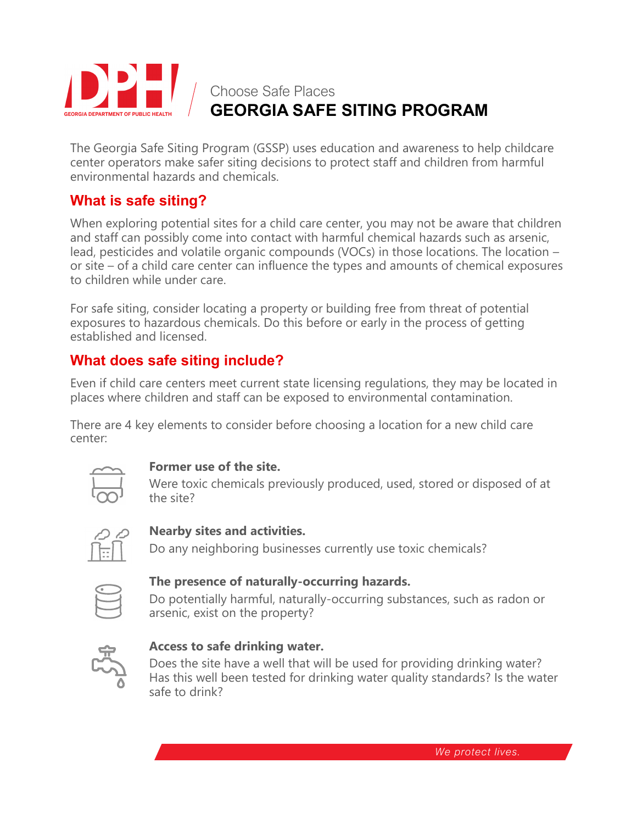

# **GEORGIA SAFE SITING PROGRAM**

The Georgia Safe Siting Program (GSSP) uses education and awareness to help childcare center operators make safer siting decisions to protect staff and children from harmful environmental hazards and chemicals.

## **What is safe siting?**

When exploring potential sites for a child care center, you may not be aware that children and staff can possibly come into contact with harmful chemical hazards such as arsenic, lead, pesticides and volatile organic compounds (VOCs) in those locations. The location – or site – of a child care center can influence the types and amounts of chemical exposures to children while under care.

For safe siting, consider locating a property or building free from threat of potential exposures to hazardous chemicals. Do this before or early in the process of getting established and licensed.

# **What does safe siting include?**

Even if child care centers meet current state licensing regulations, they may be located in places where children and staff can be exposed to environmental contamination.

There are 4 key elements to consider before choosing a location for a new child care center:



#### **Former use of the site.**

Were toxic chemicals previously produced, used, stored or disposed of at the site?



#### **Nearby sites and activities.**

Do any neighboring businesses currently use toxic chemicals?

#### **The presence of naturally-occurring hazards.**

Do potentially harmful, naturally-occurring substances, such as radon or arsenic, exist on the property?



#### **Access to safe drinking water.**

Does the site have a well that will be used for providing drinking water? Has this well been tested for drinking water quality standards? Is the water safe to drink?